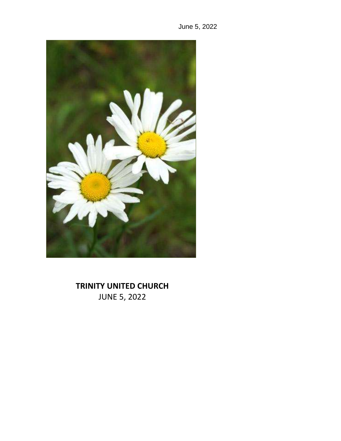



# **TRINITY UNITED CHURCH** JUNE 5, 2022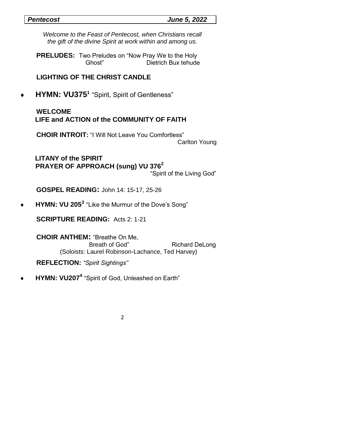#### *Pentecost June 5, 2022*

*Welcome to the Feast of Pentecost, when Christians recall the gift of the divine Spirit at work within and among us.*

**PRELUDES:** Two Preludes on "Now Pray We to the Holy Ghost" Dietrich Bux tehude

# **LIGHTING OF THE CHRIST CANDLE**

**HYMN: VU375<sup>1</sup>** "Spirit, Spirit of Gentleness"

# **WELCOME LIFE and ACTION of the COMMUNITY OF FAITH**

 **CHOIR INTROIT:** "I Will Not Leave You Comfortless"

Carlton Young

 **LITANY of the SPIRIT PRAYER OF APPROACH (sung) VU 376<sup>2</sup>** "Spirit of the Living God"

 **GOSPEL READING:** John 14: 15-17, 25-26

**HYMN: VU 205<sup>3</sup>** "Like the Murmur of the Dove's Song"

 **SCRIPTURE READING:** Acts 2: 1-21

 **CHOIR ANTHEM:** "Breathe On Me, Breath of God" Richard DeLong (Soloists: Laurel Robinson-Lachance, Ted Harvey)

 **REFLECTION:** *"Spirit Sightings"*

**HYMN: VU207<sup>4</sup>** "Spirit of God, Unleashed on Earth"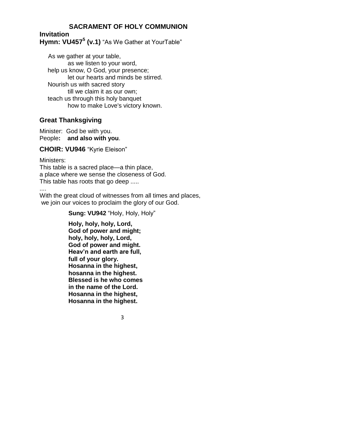# **SACRAMENT OF HOLY COMMUNION**

## **Invitation Hymn: VU457<sup>5</sup> (v.1)** "As We Gather at YourTable"

 As we gather at your table, as we listen to your word, help us know, O God, your presence; let our hearts and minds be stirred. Nourish us with sacred story till we claim it as our own; teach us through this holy banquet how to make Love's victory known.

# **Great Thanksgiving**

Minister: God be with you. People**: and also with you**.

**CHOIR: VU946** "Kyrie Eleison"

Ministers: This table is a sacred place—a thin place, a place where we sense the closeness of God. This table has roots that go deep .....

....

With the great cloud of witnesses from all times and places, we join our voices to proclaim the glory of our God.

**Sung: VU942** "Holy, Holy, Holy"

 **Holy, holy, holy, Lord, God of power and might; holy, holy, holy, Lord, God of power and might. Heav'n and earth are full, full of your glory. Hosanna in the highest, hosanna in the highest. Blessed is he who comes in the name of the Lord. Hosanna in the highest, Hosanna in the highest.**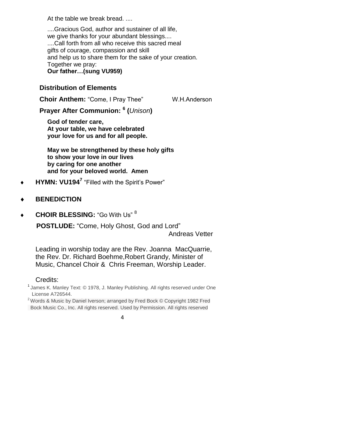At the table we break bread. ....

....Gracious God, author and sustainer of all life, we give thanks for your abundant blessings.... ....Call forth from all who receive this sacred meal gifts of courage, compassion and skill and help us to share them for the sake of your creation. Together we pray: **Our father…(sung VU959)**

### **Distribution of Elements**

**Choir Anthem:** "Come, I Pray Thee" W.H.Anderson

**Prayer After Communion: <sup>6</sup> (***Unison***)**

**God of tender care, At your table, we have celebrated your love for us and for all people.**

**May we be strengthened by these holy gifts to show your love in our lives by caring for one another and for your beloved world. Amen**

- **HYMN: VU194<sup>7</sup>** "Filled with the Spirit's Power"
- **BENEDICTION**
- **CHOIR BLESSING:** "Go With Us" <sup>8</sup>

 **POSTLUDE:** "Come, Holy Ghost, God and Lord" Andreas Vetter

Leading in worship today are the Rev. Joanna MacQuarrie, the Rev. Dr. Richard Boehme,Robert Grandy, Minister of Music, Chancel Choir & Chris Freeman, Worship Leader.

#### Credits:

 $1$  James K. Manley Text:  $\odot$  1978, J. Manley Publishing. All rights reserved under One License A726544.

<sup>2</sup> Words & Music by Daniel Iverson; arranged by Fred Bock © Copyright 1982 Fred Bock Music Co., Inc. All rights reserved. Used by Permission. All rights reserved

<sup>4</sup>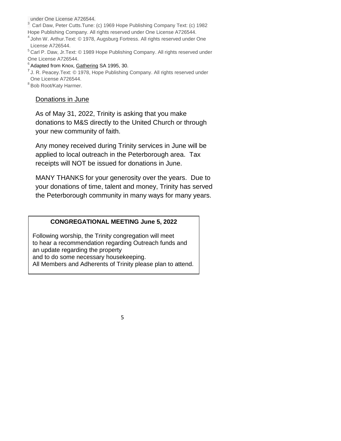under One License A726544.

<sup>3</sup> Carl Daw, Peter Cutts.Tune: (c) 1969 Hope Publishing Company Text: (c) 1982 Hope Publishing Company. All rights reserved under One License A726544.

<sup>4</sup> John W. Arthur.Text: © 1978, Augsburg Fortress. All rights reserved under One License A726544.

<sup>5</sup> Carl P. Daw, Jr. Text: © 1989 Hope Publishing Company. All rights reserved under One License A726544.

#### $6$  Adapted from Knox, Gathering SA 1995, 30.

<sup>7</sup> J. R. Peacey. Text: © 1978, Hope Publishing Company. All rights reserved under One License A726544.

<sup>8</sup> Bob Root/Katy Harmer.

#### Donations in June

As of May 31, 2022, Trinity is asking that you make donations to M&S directly to the United Church or through your new community of faith.

Any money received during Trinity services in June will be applied to local outreach in the Peterborough area. Tax receipts will NOT be issued for donations in June.

MANY THANKS for your generosity over the years. Due to your donations of time, talent and money, Trinity has served the Peterborough community in many ways for many years.

#### **CONGREGATIONAL MEETING June 5, 2022**

Following worship, the Trinity congregation will meet to hear a recommendation regarding Outreach funds and an update regarding the property and to do some necessary housekeeping. All Members and Adherents of Trinity please plan to attend.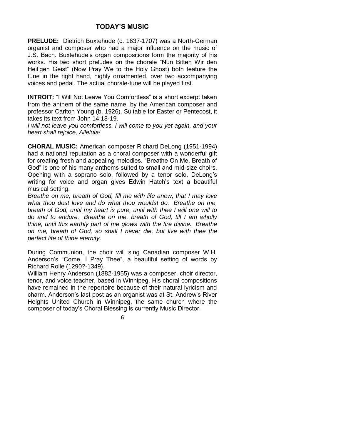### **TODAY'S MUSIC**

**PRELUDE:** Dietrich Buxtehude (c. 1637-1707) was a North-German organist and composer who had a major influence on the music of J.S. Bach. Buxtehude's organ compositions form the majority of his works. His two short preludes on the chorale "Nun Bitten Wir den Heil'gen Geist" (Now Pray We to the Holy Ghost) both feature the tune in the right hand, highly ornamented, over two accompanying voices and pedal. The actual chorale-tune will be played first.

**INTROIT:** "I Will Not Leave You Comfortless" is a short excerpt taken from the anthem of the same name, by the American composer and professor Carlton Young (b. 1926). Suitable for Easter or Pentecost, it takes its text from John 14:18-19.

*I will not leave you comfortless. I will come to you yet again, and your heart shall rejoice, Alleluia!*

**CHORAL MUSIC:** American composer Richard DeLong (1951-1994) had a national reputation as a choral composer with a wonderful gift for creating fresh and appealing melodies. "Breathe On Me, Breath of God" is one of his many anthems suited to small and mid-size choirs. Opening with a soprano solo, followed by a tenor solo, DeLong's writing for voice and organ gives Edwin Hatch's text a beautiful musical setting.

*Breathe on me, breath of God, fill me with life anew, that I may love what thou dost love and do what thou wouldst do. Breathe on me, breath of God, until my heart is pure, until with thee I will one will to do and to endure. Breathe on me, breath of God, till I am wholly thine, until this earthly part of me glows with the fire divine. Breathe on me, breath of God, so shall I never die, but live with thee the perfect life of thine eternity.*

During Communion, the choir will sing Canadian composer W.H. Anderson's "Come, I Pray Thee", a beautiful setting of words by Richard Rolle (1290?-1349).

William Henry Anderson (1882-1955) was a composer, choir director, tenor, and voice teacher, based in Winnipeg. His choral compositions have remained in the repertoire because of their natural lyricism and charm. Anderson's last post as an organist was at St. Andrew's River Heights United Church in Winnipeg, the same church where the composer of today's Choral Blessing is currently Music Director.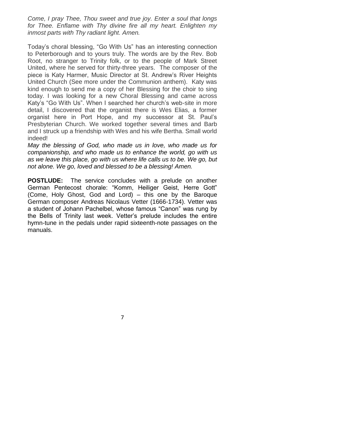*Come, I pray Thee, Thou sweet and true joy. Enter a soul that longs for Thee. Enflame with Thy divine fire all my heart. Enlighten my inmost parts with Thy radiant light. Amen.*

Today's choral blessing, "Go With Us" has an interesting connection to Peterborough and to yours truly. The words are by the Rev. Bob Root, no stranger to Trinity folk, or to the people of Mark Street United, where he served for thirty-three years. The composer of the piece is Katy Harmer, Music Director at St. Andrew's River Heights United Church (See more under the Communion anthem). Katy was kind enough to send me a copy of her Blessing for the choir to sing today. I was looking for a new Choral Blessing and came across Katy's "Go With Us". When I searched her church's web-site in more detail, I discovered that the organist there is Wes Elias, a former organist here in Port Hope, and my successor at St. Paul's Presbyterian Church. We worked together several times and Barb and I struck up a friendship with Wes and his wife Bertha. Small world indeed!

*May the blessing of God, who made us in love, who made us for companionship, and who made us to enhance the world, go with us as we leave this place, go with us where life calls us to be. We go, but not alone. We go, loved and blessed to be a blessing! Amen.* 

**POSTLUDE:** The service concludes with a prelude on another German Pentecost chorale: "Komm, Heiliger Geist, Herre Gott" (Come, Holy Ghost, God and Lord) – this one by the Baroque German composer Andreas Nicolaus Vetter (1666-1734). Vetter was a student of Johann Pachelbel, whose famous "Canon" was rung by the Bells of Trinity last week. Vetter's prelude includes the entire hymn-tune in the pedals under rapid sixteenth-note passages on the manuals.